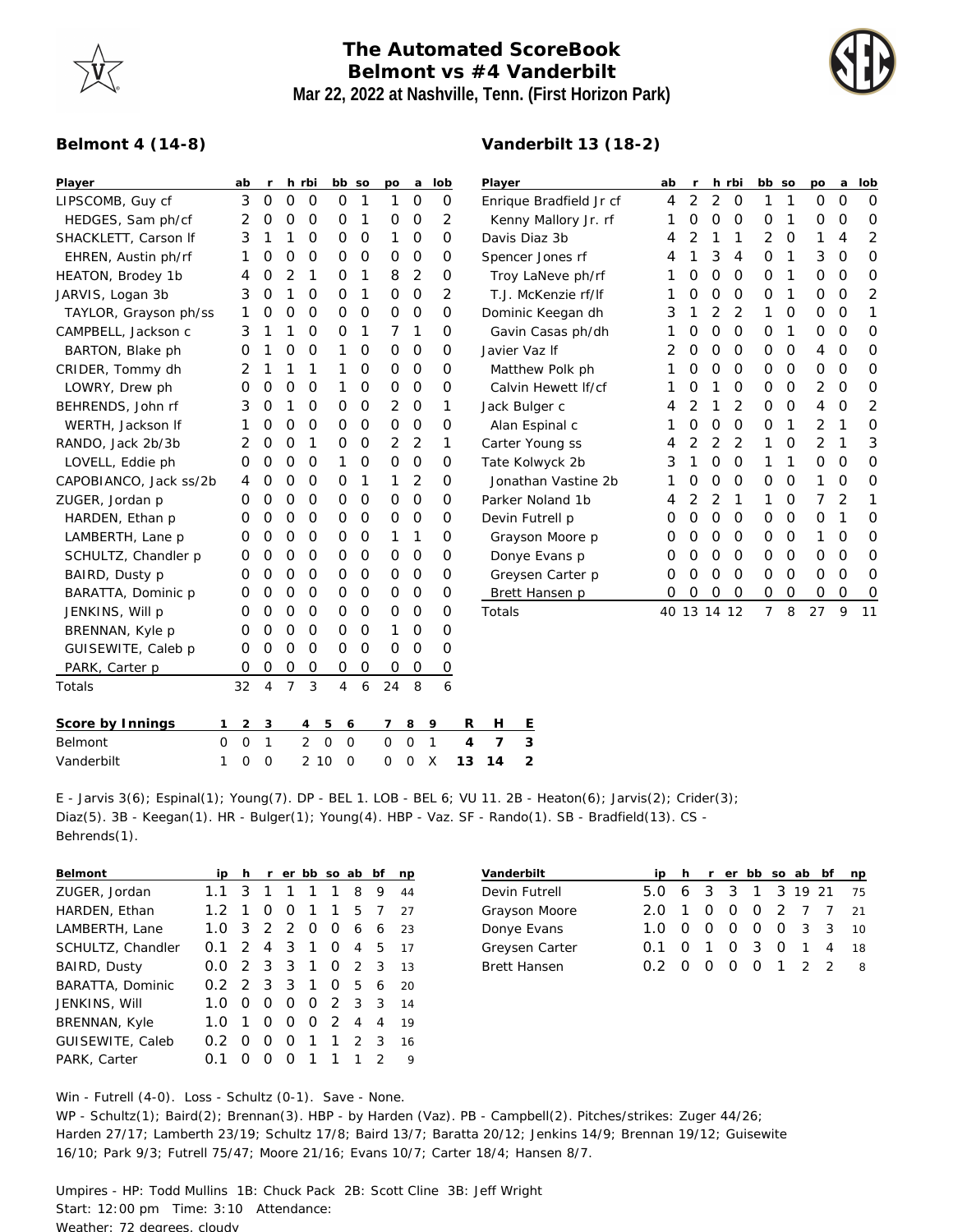

## **The Automated ScoreBook Belmont vs #4 Vanderbilt Mar 22, 2022 at Nashville, Tenn. (First Horizon Park)**

**Vanderbilt 13 (18-2)**



## **Belmont 4 (14-8)**

| Player                 | ab                          | $\mathsf{r}$ |                | h rbi          | bb so                         |               | po             | a              | lob            | Player                  | ab | $\mathsf{r}$ |              | h rbi         | bb so          |                | po            | a             | lob      |
|------------------------|-----------------------------|--------------|----------------|----------------|-------------------------------|---------------|----------------|----------------|----------------|-------------------------|----|--------------|--------------|---------------|----------------|----------------|---------------|---------------|----------|
| LIPSCOMB, Guy cf       | 3                           | $\mathbf 0$  | $\Omega$       | $\overline{0}$ | $\mathbf{O}$                  | 1             | 1              | $\mathbf 0$    | 0              | Enrique Bradfield Jr cf | 4  | 2            | 2            | $\circ$       | 1              | 1              | $\mathcal{O}$ | $\mathbf{O}$  | $\circ$  |
| HEDGES, Sam ph/cf      | 2                           | $\mathbf 0$  | 0              | 0              | 0                             | 1             | 0              | $\mathbf 0$    | 2              | Kenny Mallory Jr. rf    | 1  | $\mathbf 0$  | $\mathbf 0$  | 0             | 0              | 1              | 0             | 0             | 0        |
| SHACKLETT, Carson If   | 3                           | 1            |                | 0              | 0                             | $\mathbf 0$   | 1              | $\mathbf 0$    | 0              | Davis Diaz 3b           | 4  | 2            | 1            | 1             | 2              | $\mathbf 0$    | 1             | 4             | 2        |
| EHREN, Austin ph/rf    | 1                           | 0            | 0              | 0              | 0                             | $\circ$       | $\Omega$       | $\overline{0}$ | 0              | Spencer Jones rf        | 4  | 1            | 3            | 4             | $\mathbf 0$    | 1              | 3             | $\mathbf 0$   | $\Omega$ |
| HEATON, Brodey 1b      | 4                           | 0            | $\overline{2}$ | 1              | 0                             | 1             | 8              | 2              | 0              | Troy LaNeve ph/rf       |    | 0            | $\mathbf{O}$ | $\Omega$      | $\mathbf 0$    | 1              | 0             | $\Omega$      | 0        |
| JARVIS, Logan 3b       | 3                           | 0            | 1              | 0              | 0                             | 1             | $\mathbf 0$    | $\mathbf 0$    | 2              | T.J. McKenzie rf/lf     | 1  | 0            | 0            | $\mathcal{O}$ | 0              | 1              | 0             | $\mathcal{O}$ | 2        |
| TAYLOR, Grayson ph/ss  | 1                           | 0            | 0              | 0              | 0                             | $\mathcal{O}$ | $\mathbf{O}$   | $\mathbf 0$    | 0              | Dominic Keegan dh       | 3  | 1            | 2            | 2             | 1              | 0              | 0             | $\mathcal{O}$ |          |
| CAMPBELL, Jackson c    | 3                           | 1            |                | 0              | 0                             | 1             | 7              | 1              | 0              | Gavin Casas ph/dh       | 1  | 0            | 0            | $\mathcal{O}$ | 0              | 1              | 0             | 0             | 0        |
| BARTON, Blake ph       | 0                           | 1            | 0              | 0              | 1                             | 0             | $\circ$        | $\mathbf 0$    | 0              | Javier Vaz If           | 2  | 0            | $\mathbf 0$  | $\mathcal{O}$ | 0              | $\mathbf 0$    | 4             | 0             | $\Omega$ |
| CRIDER, Tommy dh       | 2                           | 1            |                | 1              | 1                             | $\circ$       | $\mathbf{O}$   | $\overline{0}$ | 0              | Matthew Polk ph         |    | 0            | 0            | $\circ$       | $\overline{O}$ | $\overline{0}$ | 0             | $\mathbf 0$   | 0        |
| LOWRY, Drew ph         | O                           | 0            | 0              | 0              | 1                             | 0             | $\mathbf 0$    | $\mathbf 0$    | 0              | Calvin Hewett If/cf     |    | 0            | 1            | O             | $\mathbf 0$    | $\mathbf 0$    | 2             | $\mathbf 0$   | 0        |
| BEHRENDS, John rf      | 3                           | 0            | 1              | 0              | 0                             | $\mathbf 0$   | 2              | $\mathbf 0$    | 1              | Jack Bulger c           | 4  | 2            | 1            | 2             | 0              | $\mathbf 0$    | 4             | 0             | 2        |
| WERTH, Jackson If      | 1                           | 0            | 0              | 0              | 0                             | $\mathbf 0$   | 0              | $\mathbf 0$    | 0              | Alan Espinal c          | 1  | 0            | 0            | $\mathcal{O}$ | 0              | 1              | 2             | 1             | 0        |
| RANDO, Jack 2b/3b      | 2                           | 0            | $\Omega$       | 1              | 0                             | $\mathcal{O}$ | 2              | 2              | 1              | Carter Young ss         | 4  | 2            | 2            | 2             | 1              | $\mathbf 0$    | 2             | 1             | 3        |
| LOVELL, Eddie ph       | 0                           | 0            | $\Omega$       | 0              | 1                             | 0             | $\mathbf{0}$   | $\mathbf 0$    | 0              | Tate Kolwyck 2b         | 3  | 1            | 0            | $\Omega$      | 1              | 1              | 0             | $\mathbf 0$   | 0        |
| CAPOBIANCO, Jack ss/2b | 4                           | 0            | 0              | 0              | 0                             | 1             | 1              | 2              | 0              | Jonathan Vastine 2b     |    | 0            | 0            | $\circ$       | 0              | $\mathbf 0$    | 1             | $\circ$       | 0        |
| ZUGER, Jordan p        | 0                           | 0            | 0              | 0              | 0                             | $\mathbf 0$   | 0              | $\mathbf 0$    | 0              | Parker Noland 1b        | 4  | 2            | 2            | 1             | 1              | $\mathbf 0$    | 7             | 2             | 1        |
| HARDEN, Ethan p        | $\Omega$                    | 0            | $\mathcal{O}$  | 0              | 0                             | $\mathbf 0$   | $\Omega$       | $\mathbf 0$    | 0              | Devin Futrell p         | O  | 0            | 0            | $\circ$       | 0              | $\mathbf 0$    | 0             | 1             | 0        |
| LAMBERTH, Lane p       | 0                           | 0            | 0              | 0              | 0                             | $\mathcal{O}$ | 1              | 1              | 0              | Grayson Moore p         | 0  | 0            | $\mathbf{O}$ | $\circ$       | $\mathbf 0$    | $\mathbf 0$    | 1             | 0             | 0        |
| SCHULTZ, Chandler p    | O                           | 0            | 0              | 0              | 0                             | $\Omega$      | $\mathbf 0$    | $\Omega$       | 0              | Donye Evans p           | O  | 0            | 0            | $\mathcal{O}$ | $\mathbf 0$    | $\mathbf 0$    | 0             | $\mathbf 0$   | $\Omega$ |
| BAIRD, Dusty p         | 0                           | 0            | $\mathcal{O}$  | 0              | 0                             | $\mathcal{O}$ | $\mathbf{O}$   | $\overline{0}$ | 0              | Greysen Carter p        | 0  | 0            | $\mathbf 0$  | $\circ$       | $\mathbf 0$    | $\overline{0}$ | O             | $\Omega$      | 0        |
| BARATTA, Dominic p     | 0                           | 0            | 0              | 0              | 0                             | $\mathbf 0$   | $\mathbf{0}$   | $\mathbf 0$    | 0              | Brett Hansen p          | 0  | 0            | 0            | 0             | 0              | $\mathbf 0$    | 0             | 0             | 0        |
| JENKINS, Will p        | O                           | 0            | 0              | 0              | 0                             | $\mathbf 0$   | 0              | $\mathbf 0$    | 0              | Totals                  |    | 40 13 14 12  |              |               | $\overline{7}$ | 8              | 27            | 9             | 11       |
| BRENNAN, Kyle p        | 0                           | 0            | $\Omega$       | $\Omega$       | 0                             | $\Omega$      | 1              | $\mathbf{O}$   | O              |                         |    |              |              |               |                |                |               |               |          |
| GUISEWITE, Caleb p     | 0                           | 0            | $\mathcal{O}$  | 0              | 0                             | $\circ$       | $\mathbf 0$    | $\overline{0}$ | O              |                         |    |              |              |               |                |                |               |               |          |
| PARK, Carter p         | 0                           | 0            | $\mathbf 0$    | 0              | 0                             | 0             | 0              | $\mathbf 0$    | $\overline{0}$ |                         |    |              |              |               |                |                |               |               |          |
| Totals                 | 32                          | 4            | $\overline{7}$ | 3              | 4                             | 6             | 24             | 8              | 6              |                         |    |              |              |               |                |                |               |               |          |
| Score by Innings       | 2<br>1                      | 3            |                | 4              | 5<br>6                        |               | $\overline{7}$ | 8              | 9              | R<br>H<br><u>E</u>      |    |              |              |               |                |                |               |               |          |
| Belmont                | $\mathbf{O}$<br>$\mathbf 0$ | $\mathbf{1}$ |                | $\overline{2}$ | $\mathbf 0$<br>$\overline{0}$ |               | $\mathbf{O}$   | 0              | 1              | 3<br>7<br>4             |    |              |              |               |                |                |               |               |          |

E - Jarvis 3(6); Espinal(1); Young(7). DP - BEL 1. LOB - BEL 6; VU 11. 2B - Heaton(6); Jarvis(2); Crider(3); Diaz(5). 3B - Keegan(1). HR - Bulger(1); Young(4). HBP - Vaz. SF - Rando(1). SB - Bradfield(13). CS - Behrends(1).

| Belmont           | ip  | h.               |                |                  |          |               | r er bb so ab bf |               | np  |
|-------------------|-----|------------------|----------------|------------------|----------|---------------|------------------|---------------|-----|
| ZUGER, Jordan     | 1.1 | 3                | 1              | $\mathbf{1}$     | 1        | 1             | 8                | 9             | 44  |
| HARDEN, Ethan     | 1.2 | 1                | 0              | O                | 1        | 1             | 5.               | 7             | 27  |
| LAMBERTH, Lane    | 1.0 | 3                | $\mathcal{P}$  | $\mathcal{P}$    | $\Omega$ | O             | 6                | 6             | 23  |
| SCHULTZ, Chandler | O 1 | $\mathcal{P}$    | $\overline{4}$ | 3                | 1        | O             | 4                | 5             | 17  |
| BAIRD, Dusty      | O.O | $\mathcal{P}$    | 3              | 3                | 1        | ∩             | $\mathcal{P}$    | 3             | 1.3 |
| BARATTA, Dominic  | 0 2 | 23               |                | 3                | 1        | O             | 5                | 6             | 20  |
| JENKINS, Will     | 1.0 | $\Omega$         | O              | 0                | $\Omega$ | 2             | $\overline{3}$   | 3             | 14  |
| BRENNAN, Kyle     | 1 O | $\mathbf{1}$     | O              | O                | $\Omega$ | $\mathcal{L}$ | 4                | 4             | 19  |
| GUISEWITE, Caleb  | በ 2 | $\left( \right)$ | O              | 0                | 1        | 1             | $\mathcal{P}$    | 3             | 16  |
| PARK, Carter      |     |                  |                | $\left( \right)$ | 1        |               | 1                | $\mathcal{P}$ | 9   |

| Vanderbilt          |                        |          |  |  | ip h r er bb so ab bf np |    |
|---------------------|------------------------|----------|--|--|--------------------------|----|
| Devin Futrell       | 5.0 6 3 3 1 3 19 21 75 |          |  |  |                          |    |
| Grayson Moore       | 2.0 1 0 0 0 2 7 7 21   |          |  |  |                          |    |
| Donye Evans         | 1 O                    |          |  |  | 0 0 0 0 0 3 3            | 10 |
| Greysen Carter      | 0.1 0 1 0 3 0 1 4      |          |  |  |                          | 18 |
| <b>Brett Hansen</b> | 02 D                   | $\Omega$ |  |  | 000122                   |    |

Win - Futrell (4-0). Loss - Schultz (0-1). Save - None.

WP - Schultz(1); Baird(2); Brennan(3). HBP - by Harden (Vaz). PB - Campbell(2). Pitches/strikes: Zuger 44/26; Harden 27/17; Lamberth 23/19; Schultz 17/8; Baird 13/7; Baratta 20/12; Jenkins 14/9; Brennan 19/12; Guisewite 16/10; Park 9/3; Futrell 75/47; Moore 21/16; Evans 10/7; Carter 18/4; Hansen 8/7.

Umpires - HP: Todd Mullins 1B: Chuck Pack 2B: Scott Cline 3B: Jeff Wright Start: 12:00 pm Time: 3:10 Attendance: Weather: 72 degrees, cloudy

Vanderbilt 1 0 0 2 10 0 0 0 X **13 14 2**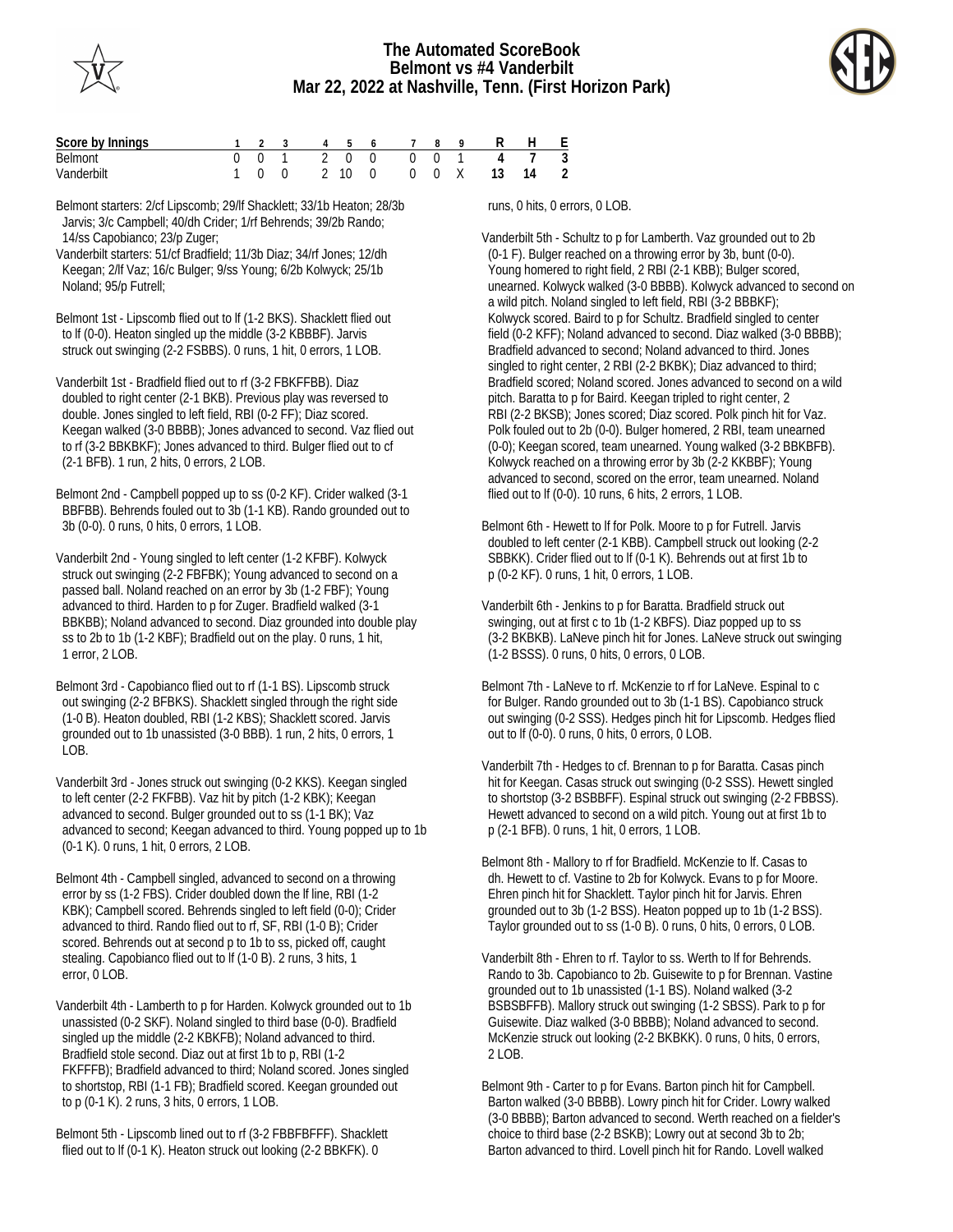



| Score by Innings |     |  |  | 1 2 3 4 5 6 7 8 |  | 9 R H E                 |  |
|------------------|-----|--|--|-----------------|--|-------------------------|--|
| <b>Belmont</b>   |     |  |  |                 |  | 0 0 1 2 0 0 0 0 1 4 7 3 |  |
| Vanderbilt       | 100 |  |  |                 |  | 2 10 0 0 0 X 13 14 2    |  |

Belmont starters: 2/cf Lipscomb; 29/lf Shacklett; 33/1b Heaton; 28/3b Jarvis; 3/c Campbell; 40/dh Crider; 1/rf Behrends; 39/2b Rando; 14/ss Capobianco; 23/p Zuger;

Vanderbilt starters: 51/cf Bradfield; 11/3b Diaz; 34/rf Jones; 12/dh Keegan; 2/lf Vaz; 16/c Bulger; 9/ss Young; 6/2b Kolwyck; 25/1b Noland; 95/p Futrell;

Belmont 1st - Lipscomb flied out to lf (1-2 BKS). Shacklett flied out to lf (0-0). Heaton singled up the middle (3-2 KBBBF). Jarvis struck out swinging (2-2 FSBBS). 0 runs, 1 hit, 0 errors, 1 LOB.

Vanderbilt 1st - Bradfield flied out to rf (3-2 FBKFFBB). Diaz doubled to right center (2-1 BKB). Previous play was reversed to double. Jones singled to left field, RBI (0-2 FF); Diaz scored. Keegan walked (3-0 BBBB); Jones advanced to second. Vaz flied out to rf (3-2 BBKBKF); Jones advanced to third. Bulger flied out to cf (2-1 BFB). 1 run, 2 hits, 0 errors, 2 LOB.

Belmont 2nd - Campbell popped up to ss (0-2 KF). Crider walked (3-1 BBFBB). Behrends fouled out to 3b (1-1 KB). Rando grounded out to 3b (0-0). 0 runs, 0 hits, 0 errors, 1 LOB.

Vanderbilt 2nd - Young singled to left center (1-2 KFBF). Kolwyck struck out swinging (2-2 FBFBK); Young advanced to second on a passed ball. Noland reached on an error by 3b (1-2 FBF); Young advanced to third. Harden to p for Zuger. Bradfield walked (3-1 BBKBB); Noland advanced to second. Diaz grounded into double play ss to 2b to 1b (1-2 KBF); Bradfield out on the play. 0 runs, 1 hit, 1 error, 2 LOB.

Belmont 3rd - Capobianco flied out to rf (1-1 BS). Lipscomb struck out swinging (2-2 BFBKS). Shacklett singled through the right side (1-0 B). Heaton doubled, RBI (1-2 KBS); Shacklett scored. Jarvis grounded out to 1b unassisted (3-0 BBB). 1 run, 2 hits, 0 errors, 1 LOB.

Vanderbilt 3rd - Jones struck out swinging (0-2 KKS). Keegan singled to left center (2-2 FKFBB). Vaz hit by pitch (1-2 KBK); Keegan advanced to second. Bulger grounded out to ss (1-1 BK); Vaz advanced to second; Keegan advanced to third. Young popped up to 1b (0-1 K). 0 runs, 1 hit, 0 errors, 2 LOB.

Belmont 4th - Campbell singled, advanced to second on a throwing error by ss (1-2 FBS). Crider doubled down the lf line, RBI (1-2 KBK); Campbell scored. Behrends singled to left field (0-0); Crider advanced to third. Rando flied out to rf, SF, RBI (1-0 B); Crider scored. Behrends out at second p to 1b to ss, picked off, caught stealing. Capobianco flied out to lf (1-0 B). 2 runs, 3 hits, 1 error, 0 LOB.

Vanderbilt 4th - Lamberth to p for Harden. Kolwyck grounded out to 1b unassisted (0-2 SKF). Noland singled to third base (0-0). Bradfield singled up the middle (2-2 KBKFB); Noland advanced to third. Bradfield stole second. Diaz out at first 1b to p, RBI (1-2 FKFFFB); Bradfield advanced to third; Noland scored. Jones singled to shortstop, RBI (1-1 FB); Bradfield scored. Keegan grounded out to p (0-1 K). 2 runs, 3 hits, 0 errors, 1 LOB.

Belmont 5th - Lipscomb lined out to rf (3-2 FBBFBFFF). Shacklett flied out to lf (0-1 K). Heaton struck out looking (2-2 BBKFK). 0

runs, 0 hits, 0 errors, 0 LOB.

Vanderbilt 5th - Schultz to p for Lamberth. Vaz grounded out to 2b (0-1 F). Bulger reached on a throwing error by 3b, bunt (0-0). Young homered to right field, 2 RBI (2-1 KBB); Bulger scored, unearned. Kolwyck walked (3-0 BBBB). Kolwyck advanced to second on a wild pitch. Noland singled to left field, RBI (3-2 BBBKF); Kolwyck scored. Baird to p for Schultz. Bradfield singled to center field (0-2 KFF); Noland advanced to second. Diaz walked (3-0 BBBB); Bradfield advanced to second; Noland advanced to third. Jones singled to right center, 2 RBI (2-2 BKBK); Diaz advanced to third; Bradfield scored; Noland scored. Jones advanced to second on a wild pitch. Baratta to p for Baird. Keegan tripled to right center, 2 RBI (2-2 BKSB); Jones scored; Diaz scored. Polk pinch hit for Vaz. Polk fouled out to 2b (0-0). Bulger homered, 2 RBI, team unearned (0-0); Keegan scored, team unearned. Young walked (3-2 BBKBFB). Kolwyck reached on a throwing error by 3b (2-2 KKBBF); Young advanced to second, scored on the error, team unearned. Noland flied out to lf (0-0). 10 runs, 6 hits, 2 errors, 1 LOB.

Belmont 6th - Hewett to lf for Polk. Moore to p for Futrell. Jarvis doubled to left center (2-1 KBB). Campbell struck out looking (2-2 SBBKK). Crider flied out to lf (0-1 K). Behrends out at first 1b to p (0-2 KF). 0 runs, 1 hit, 0 errors, 1 LOB.

Vanderbilt 6th - Jenkins to p for Baratta. Bradfield struck out swinging, out at first c to 1b (1-2 KBFS). Diaz popped up to ss (3-2 BKBKB). LaNeve pinch hit for Jones. LaNeve struck out swinging (1-2 BSSS). 0 runs, 0 hits, 0 errors, 0 LOB.

Belmont 7th - LaNeve to rf. McKenzie to rf for LaNeve. Espinal to c for Bulger. Rando grounded out to 3b (1-1 BS). Capobianco struck out swinging (0-2 SSS). Hedges pinch hit for Lipscomb. Hedges flied out to lf (0-0). 0 runs, 0 hits, 0 errors, 0 LOB.

Vanderbilt 7th - Hedges to cf. Brennan to p for Baratta. Casas pinch hit for Keegan. Casas struck out swinging (0-2 SSS). Hewett singled to shortstop (3-2 BSBBFF). Espinal struck out swinging (2-2 FBBSS). Hewett advanced to second on a wild pitch. Young out at first 1b to p (2-1 BFB). 0 runs, 1 hit, 0 errors, 1 LOB.

Belmont 8th - Mallory to rf for Bradfield. McKenzie to lf. Casas to dh. Hewett to cf. Vastine to 2b for Kolwyck. Evans to p for Moore. Ehren pinch hit for Shacklett. Taylor pinch hit for Jarvis. Ehren grounded out to 3b (1-2 BSS). Heaton popped up to 1b (1-2 BSS). Taylor grounded out to ss (1-0 B). 0 runs, 0 hits, 0 errors, 0 LOB.

Vanderbilt 8th - Ehren to rf. Taylor to ss. Werth to lf for Behrends. Rando to 3b. Capobianco to 2b. Guisewite to p for Brennan. Vastine grounded out to 1b unassisted (1-1 BS). Noland walked (3-2 BSBSBFFB). Mallory struck out swinging (1-2 SBSS). Park to p for Guisewite. Diaz walked (3-0 BBBB); Noland advanced to second. McKenzie struck out looking (2-2 BKBKK). 0 runs, 0 hits, 0 errors, 2 LOB.

Belmont 9th - Carter to p for Evans. Barton pinch hit for Campbell. Barton walked (3-0 BBBB). Lowry pinch hit for Crider. Lowry walked (3-0 BBBB); Barton advanced to second. Werth reached on a fielder's choice to third base (2-2 BSKB); Lowry out at second 3b to 2b; Barton advanced to third. Lovell pinch hit for Rando. Lovell walked